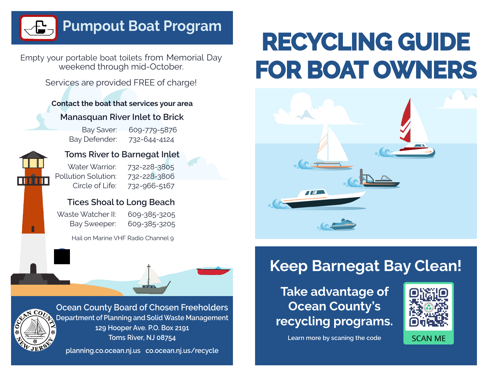#### **Pumpout Boat Program**

Empty your portable boat toilets from Memorial Day weekend through mid-October.

Services are provided FREE of charge!

#### **Contact the boat that services your area**

#### **Manasquan River Inlet to Brick**

Bay Saver: 609-779-5876 Bay Defender: 732-644-4124



#### **Toms River to Barnegat Inlet**

Water Warrior: 732-228-3805 Pollution Solution: 732-228-3806 Circle of Life: 732-966-5167

**Tices Shoal to Long Beach**

| Waste Watcher II: | 609-385-3205 |
|-------------------|--------------|
| Bay Sweeper:      | 609-385-3205 |

Hail on Marine VHF Radio Channel 9



**Ocean County Board of Chosen Freeholders Department of Planning and Solid Waste Management 129 Hooper Ave. P.O. Box 2191 Toms River, NJ 08754** 

**planning.co.ocean.nj.us co.ocean.nj.us/recycle**

# **RECYCLING GUIDE FOR BOAT OWNERS**



### **Keep Barnegat Bay Clean!**

**Take advantage of Ocean County's recycling programs.**



**Learn more by scaning the code**